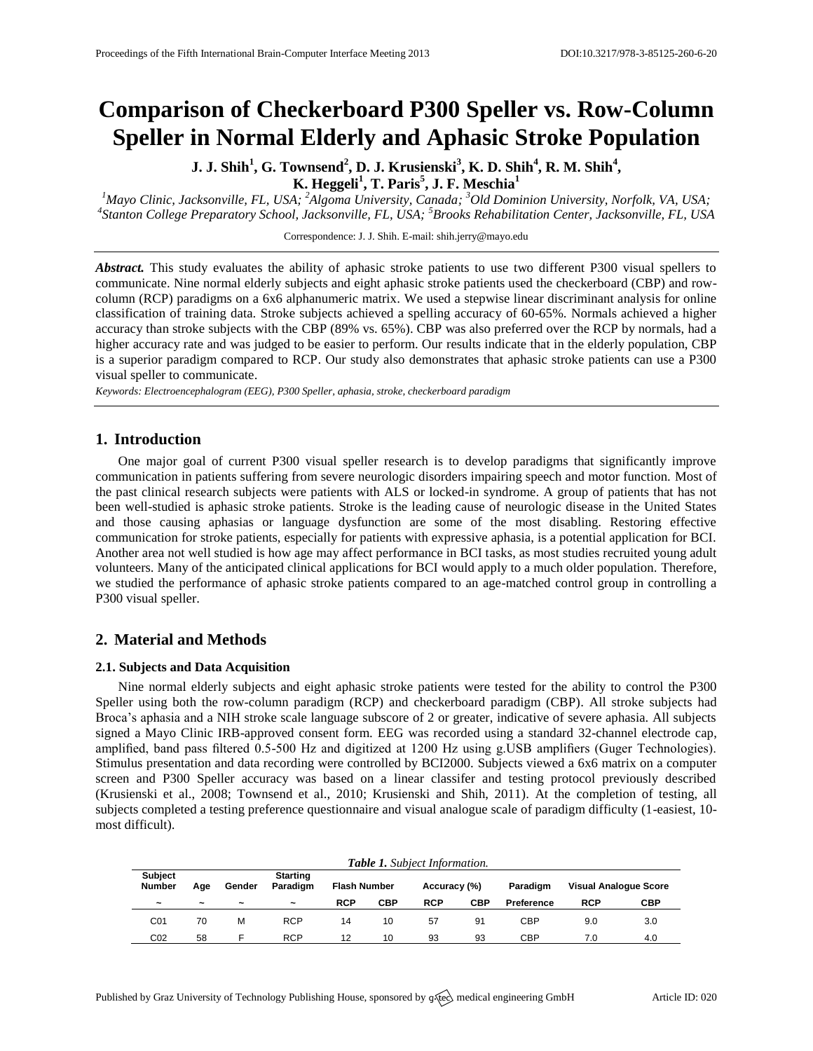# **Comparison of Checkerboard P300 Speller vs. Row-Column Speller in Normal Elderly and Aphasic Stroke Population**

**J. J. Shih<sup>1</sup> , G. Townsend<sup>2</sup> , D. J. Krusienski<sup>3</sup> , K. D. Shih<sup>4</sup> , R. M. Shih<sup>4</sup> , K. Heggeli<sup>1</sup> , T. Paris<sup>5</sup> , J. F. Meschia<sup>1</sup>**

*<sup>1</sup>Mayo Clinic, Jacksonville, FL, USA; <sup>2</sup>Algoma University, Canada; <sup>3</sup>Old Dominion University, Norfolk, VA, USA; 4 Stanton College Preparatory School, Jacksonville, FL, USA; <sup>5</sup>Brooks Rehabilitation Center, Jacksonville, FL, USA*

Correspondence: J. J. Shih. E-mail[: shih.jerry@mayo.edu](mailto:shih.jerry@mayo.edu)

*Abstract.* This study evaluates the ability of aphasic stroke patients to use two different P300 visual spellers to communicate. Nine normal elderly subjects and eight aphasic stroke patients used the checkerboard (CBP) and rowcolumn (RCP) paradigms on a 6x6 alphanumeric matrix. We used a stepwise linear discriminant analysis for online classification of training data. Stroke subjects achieved a spelling accuracy of 60-65%. Normals achieved a higher accuracy than stroke subjects with the CBP (89% vs. 65%). CBP was also preferred over the RCP by normals, had a higher accuracy rate and was judged to be easier to perform. Our results indicate that in the elderly population, CBP is a superior paradigm compared to RCP. Our study also demonstrates that aphasic stroke patients can use a P300 visual speller to communicate.

*Keywords: Electroencephalogram (EEG), P300 Speller, aphasia, stroke, checkerboard paradigm*

## **1. Introduction**

One major goal of current P300 visual speller research is to develop paradigms that significantly improve communication in patients suffering from severe neurologic disorders impairing speech and motor function. Most of the past clinical research subjects were patients with ALS or locked-in syndrome. A group of patients that has not been well-studied is aphasic stroke patients. Stroke is the leading cause of neurologic disease in the United States and those causing aphasias or language dysfunction are some of the most disabling. Restoring effective communication for stroke patients, especially for patients with expressive aphasia, is a potential application for BCI. Another area not well studied is how age may affect performance in BCI tasks, as most studies recruited young adult volunteers. Many of the anticipated clinical applications for BCI would apply to a much older population. Therefore, we studied the performance of aphasic stroke patients compared to an age-matched control group in controlling a P300 visual speller.

# **2. Material and Methods**

#### **2.1. Subjects and Data Acquisition**

Nine normal elderly subjects and eight aphasic stroke patients were tested for the ability to control the P300 Speller using both the row-column paradigm (RCP) and checkerboard paradigm (CBP). All stroke subjects had Broca's aphasia and a NIH stroke scale language subscore of 2 or greater, indicative of severe aphasia. All subjects signed a Mayo Clinic IRB-approved consent form. EEG was recorded using a standard 32-channel electrode cap, amplified, band pass filtered 0.5-500 Hz and digitized at 1200 Hz using g.USB amplifiers (Guger Technologies). Stimulus presentation and data recording were controlled by BCI2000. Subjects viewed a 6x6 matrix on a computer screen and P300 Speller accuracy was based on a linear classifer and testing protocol previously described (Krusienski et al., 2008; Townsend et al., 2010; Krusienski and Shih, 2011). At the completion of testing, all subjects completed a testing preference questionnaire and visual analogue scale of paradigm difficulty (1-easiest, 10 most difficult).

| <b>Table 1.</b> Subject Information. |                       |                       |                             |            |                                     |            |          |                              |            |            |
|--------------------------------------|-----------------------|-----------------------|-----------------------------|------------|-------------------------------------|------------|----------|------------------------------|------------|------------|
| <b>Subject</b><br><b>Number</b>      | Age                   | Gender                | <b>Starting</b><br>Paradigm |            | Accuracy (%)<br><b>Flash Number</b> |            | Paradigm | <b>Visual Analogue Score</b> |            |            |
| $\tilde{\phantom{a}}$                | $\tilde{\phantom{a}}$ | $\tilde{\phantom{a}}$ | $\tilde{\phantom{a}}$       | <b>RCP</b> | <b>CBP</b>                          | <b>RCP</b> | CBP      | Preference                   | <b>RCP</b> | <b>CBP</b> |
| CO <sub>1</sub>                      | 70                    | м                     | <b>RCP</b>                  | 14         | 10                                  | 57         | 91       | CBP                          | 9.0        | 3.0        |
| CO <sub>2</sub>                      | 58                    | ⊢                     | <b>RCP</b>                  | 12         | 10                                  | 93         | 93       | CBP                          | 7.0        | 4.0        |